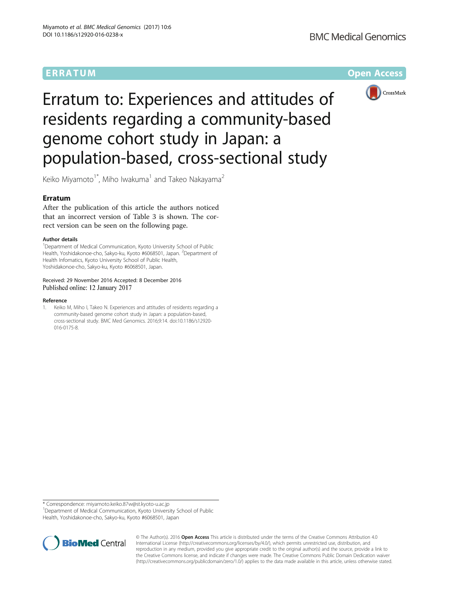# ERRA TUM Open Access



Erratum to: Experiences and attitudes of residents regarding a community-based genome cohort study in Japan: a population-based, cross-sectional study

Keiko Miyamoto<sup>1\*</sup>, Miho Iwakuma<sup>1</sup> and Takeo Nakayama<sup>2</sup>

# Erratum

After the publication of this article the authors noticed that an incorrect version of Table [3](#page-1-0) is shown. The correct version can be seen on the following page.

## Author details

<sup>1</sup>Department of Medical Communication, Kyoto University School of Public Health, Yoshidakonoe-cho, Sakyo-ku, Kyoto #6068501, Japan. <sup>2</sup>Department of Health Infomatics, Kyoto University School of Public Health, Yoshidakonoe-cho, Sakyo-ku, Kyoto #6068501, Japan.

### Received: 29 November 2016 Accepted: 8 December 2016 Published online: 12 January 2017

### Reference

1. Keiko M, Miho I, Takeo N. Experiences and attitudes of residents regarding a community-based genome cohort study in Japan: a population-based, cross-sectional study. BMC Med Genomics. 2016;9:14. doi:[10.1186/s12920-](http://dx.doi.org/10.1186/s12920-016-0175-8) [016-0175-8](http://dx.doi.org/10.1186/s12920-016-0175-8).

\* Correspondence: [miyamoto.keiko.87w@st.kyoto-u.ac.jp](mailto:miyamoto.keiko.87w@st.kyoto-u.ac.jp) <sup>1</sup>

<sup>1</sup>Department of Medical Communication, Kyoto University School of Public Health, Yoshidakonoe-cho, Sakyo-ku, Kyoto #6068501, Japan



© The Author(s). 2016 Open Access This article is distributed under the terms of the Creative Commons Attribution 4.0 International License [\(http://creativecommons.org/licenses/by/4.0/](http://creativecommons.org/licenses/by/4.0/)), which permits unrestricted use, distribution, and reproduction in any medium, provided you give appropriate credit to the original author(s) and the source, provide a link to the Creative Commons license, and indicate if changes were made. The Creative Commons Public Domain Dedication waiver [\(http://creativecommons.org/publicdomain/zero/1.0/](http://creativecommons.org/publicdomain/zero/1.0/)) applies to the data made available in this article, unless otherwise stated.